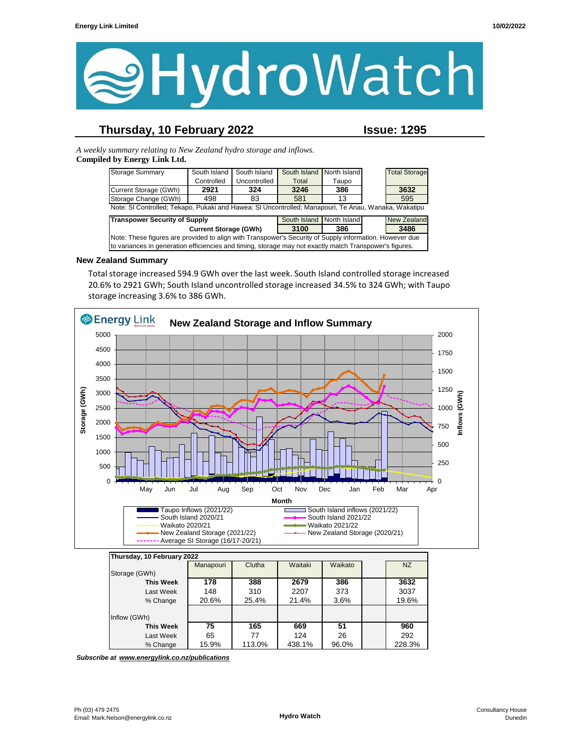

# **Thursday, 10 February 2022 Issue: 1295**

*A weekly summary relating to New Zealand hydro storage and inflows.*  **Compiled by Energy Link Ltd.**

| <b>Storage Summary</b>                                                                                  | South Island | South Island | South Island | North Island |  | <b>Total Storage</b> |
|---------------------------------------------------------------------------------------------------------|--------------|--------------|--------------|--------------|--|----------------------|
|                                                                                                         | Controlled   | Uncontrolled | Total        | Taupo        |  |                      |
| Current Storage (GWh)                                                                                   | 2921         | 324          | 3246         | 386          |  | 3632                 |
| Storage Change (GWh)                                                                                    | 498          | 83           | 581          | 13           |  | 595                  |
| Note: SI Controlled; Tekapo, Pukaki and Hawea: SI Uncontrolled; Manapouri, Te Anau, Wanaka, Wakatipu    |              |              |              |              |  |                      |
| <b>Transpower Security of Supply</b><br>South Island North Island<br><b>New Zealand</b>                 |              |              |              |              |  |                      |
| 3486<br>3100<br><b>Current Storage (GWh)</b><br>386                                                     |              |              |              |              |  |                      |
| Note: These figures are provided to align with Transpower's Security of Supply information. However due |              |              |              |              |  |                      |
| to variances in generation efficiencies and timing, storage may not exactly match Transpower's figures. |              |              |              |              |  |                      |

#### **New Zealand Summary**

Total storage increased 594.9 GWh over the last week. South Island controlled storage increased 20.6% to 2921 GWh; South Island uncontrolled storage increased 34.5% to 324 GWh; with Taupo storage increasing 3.6% to 386 GWh.



| Thursday, 10 February 2022 |           |        |         |         |        |
|----------------------------|-----------|--------|---------|---------|--------|
|                            | Manapouri | Clutha | Waitaki | Waikato | NZ     |
| Storage (GWh)              |           |        |         |         |        |
| <b>This Week</b>           | 178       | 388    | 2679    | 386     | 3632   |
| Last Week                  | 148       | 310    | 2207    | 373     | 3037   |
| % Change                   | 20.6%     | 25.4%  | 21.4%   | 3.6%    | 19.6%  |
| Inflow (GWh)               |           |        |         |         |        |
| This Week                  | 75        | 165    | 669     | 51      | 960    |
| Last Week                  | 65        | 77     | 124     | 26      | 292    |
| % Change                   | 15.9%     | 113.0% | 438.1%  | 96.0%   | 228.3% |

*Subscribe at www.energylink.co.nz/publications*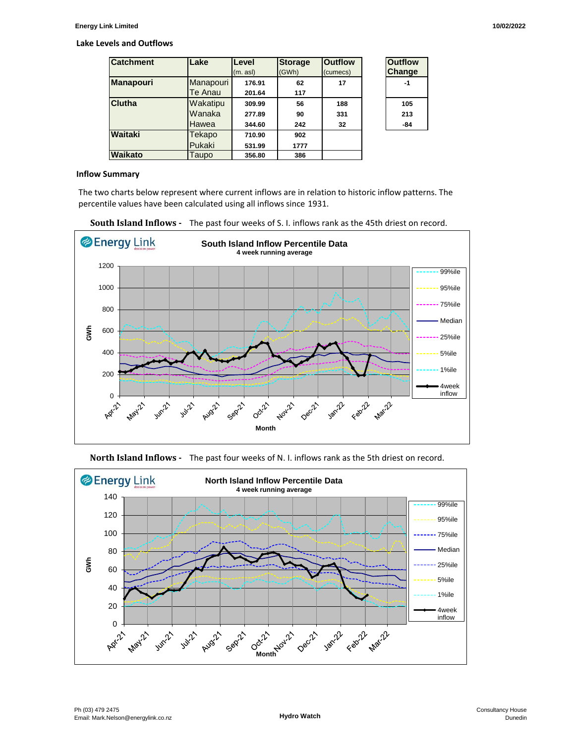#### **Lake Levels and Outflows**

| <b>Catchment</b> | Lake           | Level    | <b>Storage</b> | <b>Outflow</b> | <b>Outflow</b> |
|------------------|----------------|----------|----------------|----------------|----------------|
|                  |                | (m. asl) | (GWh)          | (cumecs)       | <b>Change</b>  |
| <b>Manapouri</b> | Manapouri      | 176.91   | 62             | 17             | -1             |
|                  | <b>Te Anau</b> | 201.64   | 117            |                |                |
| Clutha           | Wakatipu       | 309.99   | 56             | 188            | 105            |
|                  | Wanaka         | 277.89   | 90             | 331            | 213            |
|                  | Hawea          | 344.60   | 242            | 32             | -84            |
| Waitaki          | Tekapo         | 710.90   | 902            |                |                |
|                  | Pukaki         | 531.99   | 1777           |                |                |
| Waikato          | Taupo          | 356.80   | 386            |                |                |

| Outfilow<br>Change |
|--------------------|
| -1                 |
| 105                |
| 213                |
| 84                 |

#### **Inflow Summary**

The two charts below represent where current inflows are in relation to historic inflow patterns. The percentile values have been calculated using all inflows since 1931.







**North Island Inflows -** The past four weeks of N. I. inflows rank as the 5th driest on record.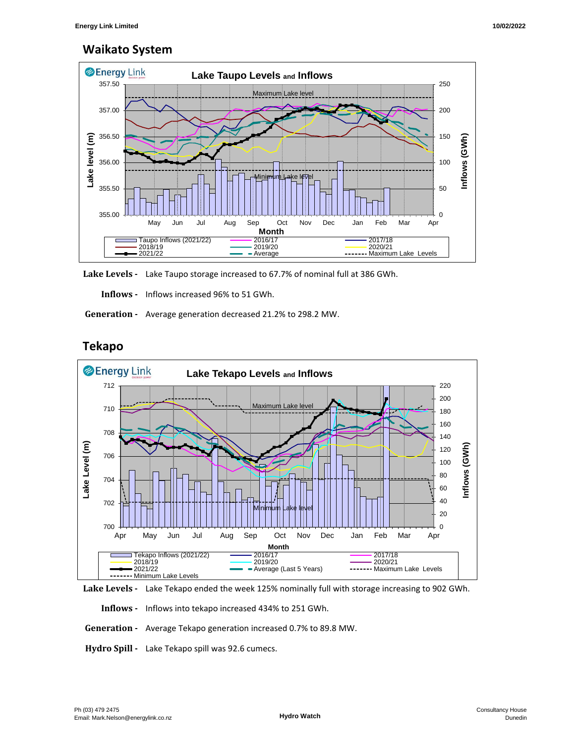## **Waikato System**



**Lake Levels -** Lake Taupo storage increased to 67.7% of nominal full at 386 GWh.

 **Inflows -** Inflows increased 96% to 51 GWh.

 **Generation -** Average generation decreased 21.2% to 298.2 MW.



## **Tekapo**



 **Inflows -** Inflows into tekapo increased 434% to 251 GWh.

 **Generation -** Average Tekapo generation increased 0.7% to 89.8 MW.

**Hydro Spill -** Lake Tekapo spill was 92.6 cumecs.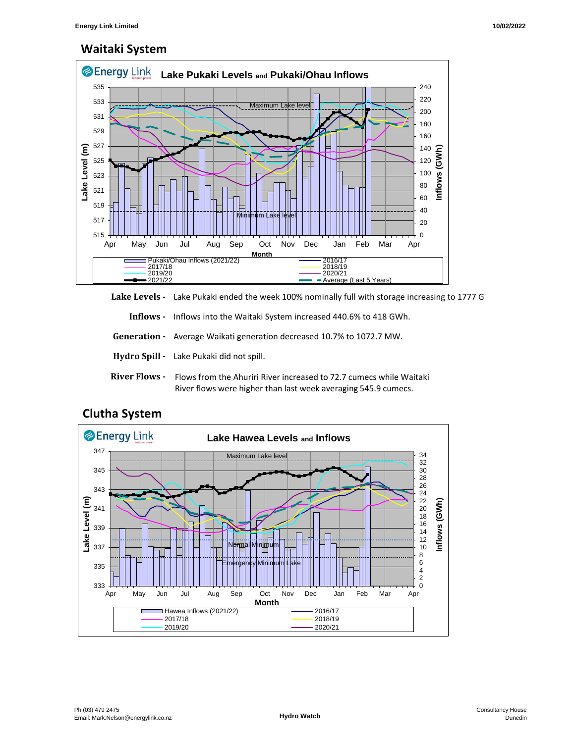# **Waitaki System**



Lake Levels - Lake Pukaki ended the week 100% nominally full with storage increasing to 1777 G

 **Inflows -** Inflows into the Waitaki System increased 440.6% to 418 GWh.

 **Generation -** Average Waikati generation decreased 10.7% to 1072.7 MW.

- **Hydro Spill** Lake Pukaki did not spill.
- **River Flows**  Flows from the Ahuriri River increased to 72.7 cumecs while Waitaki River flows were higher than last week averaging 545.9 cumecs.



## **Clutha System**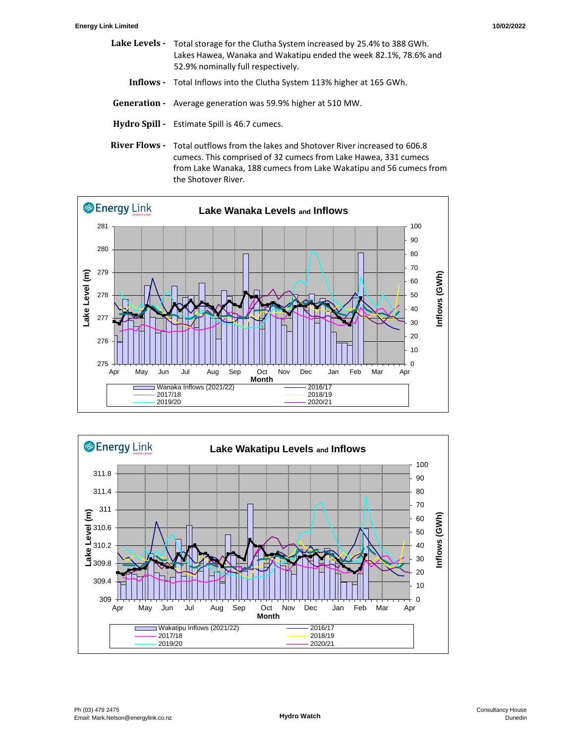- Lake Levels Total storage for the Clutha System increased by 25.4% to 388 GWh. Lakes Hawea, Wanaka and Wakatipu ended the week 82.1%, 78.6% and 52.9% nominally full respectively.
	- **Inflows** Total Inflows into the Clutha System 113% higher at 165 GWh.
- **Generation** Average generation was 59.9% higher at 510 MW.
- **Hydro Spill** Estimate Spill is 46.7 cumecs.
- River Flows Total outflows from the lakes and Shotover River increased to 606.8 cumecs. This comprised of 32 cumecs from Lake Hawea, 331 cumecs from Lake Wanaka, 188 cumecs from Lake Wakatipu and 56 cumecs from the Shotover River.